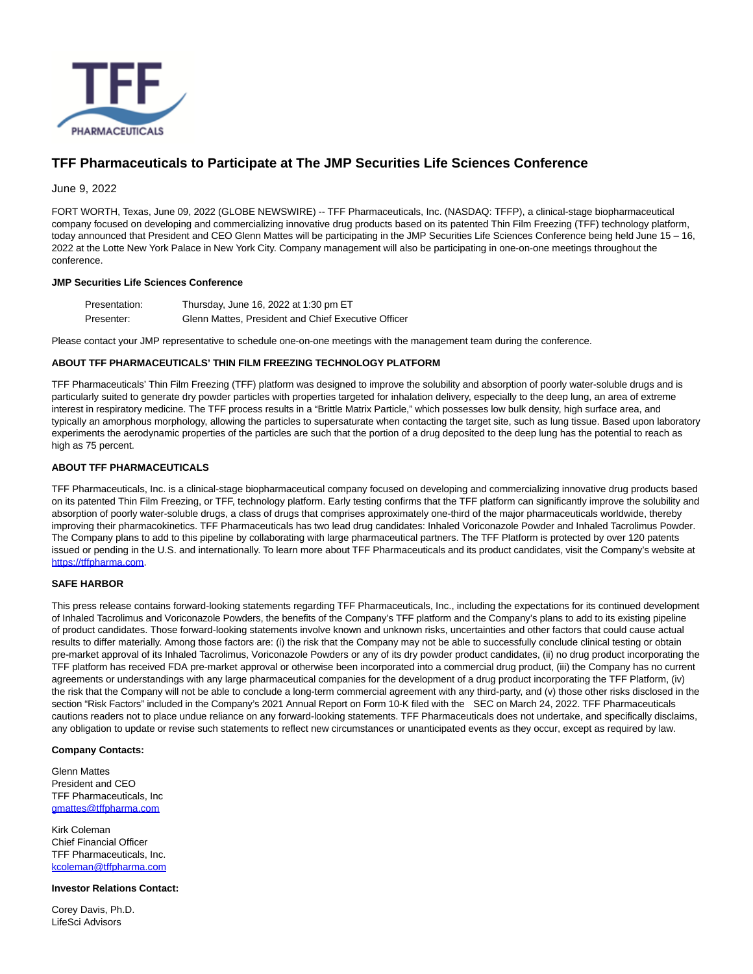

# **TFF Pharmaceuticals to Participate at The JMP Securities Life Sciences Conference**

June 9, 2022

FORT WORTH, Texas, June 09, 2022 (GLOBE NEWSWIRE) -- TFF Pharmaceuticals, Inc. (NASDAQ: TFFP), a clinical-stage biopharmaceutical company focused on developing and commercializing innovative drug products based on its patented Thin Film Freezing (TFF) technology platform, today announced that President and CEO Glenn Mattes will be participating in the JMP Securities Life Sciences Conference being held June 15 – 16, 2022 at the Lotte New York Palace in New York City. Company management will also be participating in one-on-one meetings throughout the conference.

### **JMP Securities Life Sciences Conference**

| Presentation: | Thursday, June 16, 2022 at 1:30 pm ET               |
|---------------|-----------------------------------------------------|
| Presenter:    | Glenn Mattes, President and Chief Executive Officer |

Please contact your JMP representative to schedule one-on-one meetings with the management team during the conference.

# **ABOUT TFF PHARMACEUTICALS' THIN FILM FREEZING TECHNOLOGY PLATFORM**

TFF Pharmaceuticals' Thin Film Freezing (TFF) platform was designed to improve the solubility and absorption of poorly water-soluble drugs and is particularly suited to generate dry powder particles with properties targeted for inhalation delivery, especially to the deep lung, an area of extreme interest in respiratory medicine. The TFF process results in a "Brittle Matrix Particle," which possesses low bulk density, high surface area, and typically an amorphous morphology, allowing the particles to supersaturate when contacting the target site, such as lung tissue. Based upon laboratory experiments the aerodynamic properties of the particles are such that the portion of a drug deposited to the deep lung has the potential to reach as high as 75 percent.

# **ABOUT TFF PHARMACEUTICALS**

TFF Pharmaceuticals, Inc. is a clinical-stage biopharmaceutical company focused on developing and commercializing innovative drug products based on its patented Thin Film Freezing, or TFF, technology platform. Early testing confirms that the TFF platform can significantly improve the solubility and absorption of poorly water-soluble drugs, a class of drugs that comprises approximately one-third of the major pharmaceuticals worldwide, thereby improving their pharmacokinetics. TFF Pharmaceuticals has two lead drug candidates: Inhaled Voriconazole Powder and Inhaled Tacrolimus Powder. The Company plans to add to this pipeline by collaborating with large pharmaceutical partners. The TFF Platform is protected by over 120 patents issued or pending in the U.S. and internationally. To learn more about TFF Pharmaceuticals and its product candidates, visit the Company's website at [https://tffpharma.com.](https://www.globenewswire.com/Tracker?data=h8NlUvuofluyEcUTHrp6SXbt324i026au6SmZH7Onb_kHQ_viti1WWPmCdFnMZbmfMc0gVozN3rXM-sjs-bhTg==)

### **SAFE HARBOR**

This press release contains forward-looking statements regarding TFF Pharmaceuticals, Inc., including the expectations for its continued development of Inhaled Tacrolimus and Voriconazole Powders, the benefits of the Company's TFF platform and the Company's plans to add to its existing pipeline of product candidates. Those forward-looking statements involve known and unknown risks, uncertainties and other factors that could cause actual results to differ materially. Among those factors are: (i) the risk that the Company may not be able to successfully conclude clinical testing or obtain pre-market approval of its Inhaled Tacrolimus, Voriconazole Powders or any of its dry powder product candidates, (ii) no drug product incorporating the TFF platform has received FDA pre-market approval or otherwise been incorporated into a commercial drug product, (iii) the Company has no current agreements or understandings with any large pharmaceutical companies for the development of a drug product incorporating the TFF Platform, (iv) the risk that the Company will not be able to conclude a long-term commercial agreement with any third-party, and (v) those other risks disclosed in the section "Risk Factors" included in the Company's 2021 Annual Report on Form 10-K filed with the SEC on March 24, 2022. TFF Pharmaceuticals cautions readers not to place undue reliance on any forward-looking statements. TFF Pharmaceuticals does not undertake, and specifically disclaims, any obligation to update or revise such statements to reflect new circumstances or unanticipated events as they occur, except as required by law.

#### **Company Contacts:**

Glenn Mattes President and CEO TFF Pharmaceuticals, Inc [gmattes@tffpharma.com](https://www.globenewswire.com/Tracker?data=-CNHiw1_GeDPtp6KkxyUFUQfW7r57qH298QIAQgfLUOZJnEiw0F6xYTMlBTYys4PZFwZOGl_GVHconssvNqe38nD9KqR8RMKoVkFIzlh47k=)

Kirk Coleman Chief Financial Officer TFF Pharmaceuticals, Inc. [kcoleman@tffpharma.com](https://www.globenewswire.com/Tracker?data=_L59grLOo0UKuPc_ZNXWeWr6Mr1gCN6buDBVZaDV1iVonzC7uoxWLbt-WS6rw4RhF2l0Z2648x2FKpEG2dtw8u0kvQEQ9x_DU9XJhtWLs84=)

**Investor Relations Contact:**

Corey Davis, Ph.D. LifeSci Advisors